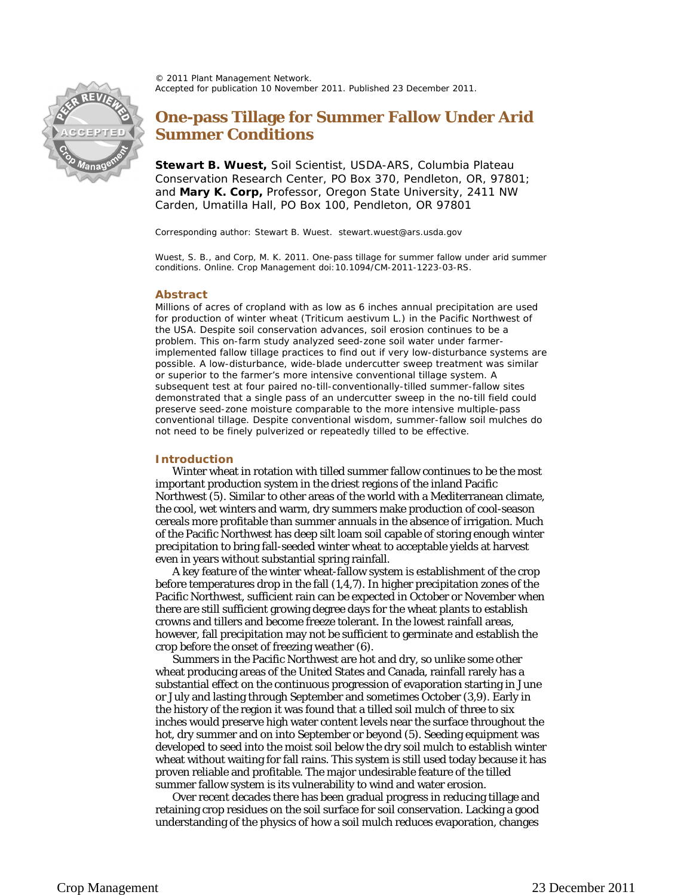© 2011 Plant Management Network. Accepted for publication 10 November 2011. Published 23 December 2011.



# **One-pass Tillage for Summer Fallow Under Arid Summer Conditions**

**Stewart B. Wuest,** Soil Scientist, USDA-ARS, Columbia Plateau Conservation Research Center, PO Box 370, Pendleton, OR, 97801; and **Mary K. Corp,** Professor, Oregon State University, 2411 NW Carden, Umatilla Hall, PO Box 100, Pendleton, OR 97801

Corresponding author: Stewart B. Wuest. stewart.wuest@ars.usda.gov

Wuest, S. B., and Corp, M. K. 2011. One-pass tillage for summer fallow under arid summer conditions. Online. Crop Management doi:10.1094/CM-2011-1223-03-RS.

## **Abstract**

Millions of acres of cropland with as low as 6 inches annual precipitation are used for production of winter wheat (*Triticum aestivum* L.) in the Pacific Northwest of the USA. Despite soil conservation advances, soil erosion continues to be a problem. This on-farm study analyzed seed-zone soil water under farmerimplemented fallow tillage practices to find out if very low-disturbance systems are possible. A low-disturbance, wide-blade undercutter sweep treatment was similar or superior to the farmer's more intensive conventional tillage system. A subsequent test at four paired no-till-conventionally-tilled summer-fallow sites demonstrated that a single pass of an undercutter sweep in the no-till field could preserve seed-zone moisture comparable to the more intensive multiple-pass conventional tillage. Despite conventional wisdom, summer-fallow soil mulches do not need to be finely pulverized or repeatedly tilled to be effective.

### **Introduction**

Winter wheat in rotation with tilled summer fallow continues to be the most important production system in the driest regions of the inland Pacific Northwest (5). Similar to other areas of the world with a Mediterranean climate, the cool, wet winters and warm, dry summers make production of cool-season cereals more profitable than summer annuals in the absence of irrigation. Much of the Pacific Northwest has deep silt loam soil capable of storing enough winter precipitation to bring fall-seeded winter wheat to acceptable yields at harvest even in years without substantial spring rainfall.

A key feature of the winter wheat-fallow system is establishment of the crop before temperatures drop in the fall (1,4,7). In higher precipitation zones of the Pacific Northwest, sufficient rain can be expected in October or November when there are still sufficient growing degree days for the wheat plants to establish crowns and tillers and become freeze tolerant. In the lowest rainfall areas, however, fall precipitation may not be sufficient to germinate and establish the crop before the onset of freezing weather (6).

Summers in the Pacific Northwest are hot and dry, so unlike some other wheat producing areas of the United States and Canada, rainfall rarely has a substantial effect on the continuous progression of evaporation starting in June or July and lasting through September and sometimes October (3,9). Early in the history of the region it was found that a tilled soil mulch of three to six inches would preserve high water content levels near the surface throughout the hot, dry summer and on into September or beyond (5). Seeding equipment was developed to seed into the moist soil below the dry soil mulch to establish winter wheat without waiting for fall rains. This system is still used today because it has proven reliable and profitable. The major undesirable feature of the tilled summer fallow system is its vulnerability to wind and water erosion.

Over recent decades there has been gradual progress in reducing tillage and retaining crop residues on the soil surface for soil conservation. Lacking a good understanding of the physics of how a soil mulch reduces evaporation, changes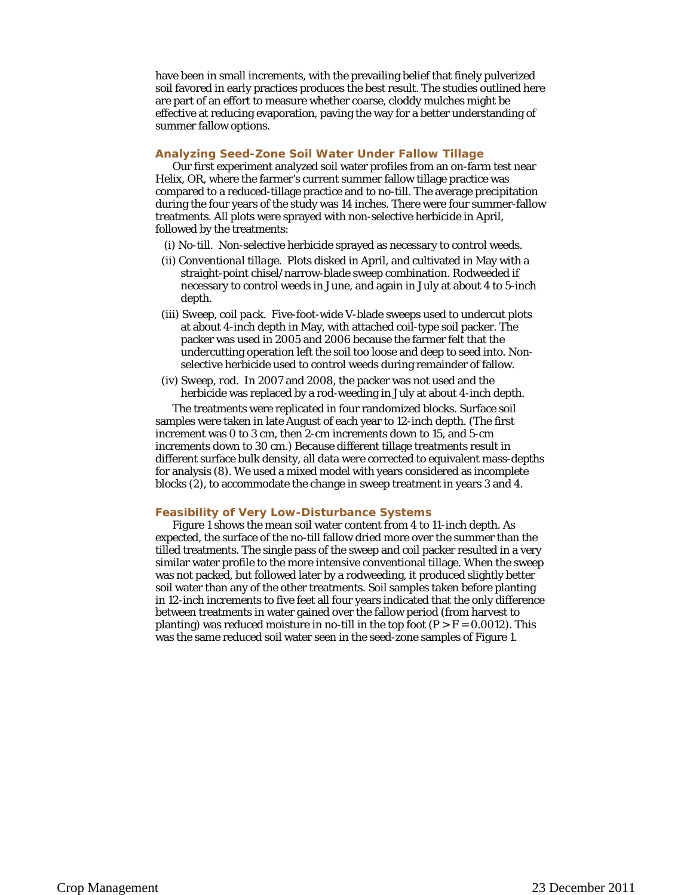have been in small increments, with the prevailing belief that finely pulverized soil favored in early practices produces the best result. The studies outlined here are part of an effort to measure whether coarse, cloddy mulches might be effective at reducing evaporation, paving the way for a better understanding of summer fallow options.

## **Analyzing Seed-Zone Soil Water Under Fallow Tillage**

Our first experiment analyzed soil water profiles from an on-farm test near Helix, OR, where the farmer's current summer fallow tillage practice was compared to a reduced-tillage practice and to no-till. The average precipitation during the four years of the study was 14 inches. There were four summer-fallow treatments. All plots were sprayed with non-selective herbicide in April, followed by the treatments:

- (i) *No-till*. Non-selective herbicide sprayed as necessary to control weeds.
- (ii) *Conventional tillage*. Plots disked in April, and cultivated in May with a straight-point chisel/narrow-blade sweep combination. Rodweeded if necessary to control weeds in June, and again in July at about 4 to 5-inch depth.
- (iii) *Sweep*, *coil pack*. Five-foot-wide V-blade sweeps used to undercut plots at about 4-inch depth in May, with attached coil-type soil packer. The packer was used in 2005 and 2006 because the farmer felt that the undercutting operation left the soil too loose and deep to seed into. Nonselective herbicide used to control weeds during remainder of fallow.
- (iv) *Sweep*, *rod*. In 2007 and 2008, the packer was not used and the herbicide was replaced by a rod-weeding in July at about 4-inch depth.

The treatments were replicated in four randomized blocks. Surface soil samples were taken in late August of each year to 12-inch depth. (The first increment was 0 to 3 cm, then 2-cm increments down to 15, and 5-cm increments down to 30 cm.) Because different tillage treatments result in different surface bulk density, all data were corrected to equivalent mass-depths for analysis (8). We used a mixed model with years considered as incomplete blocks (2), to accommodate the change in sweep treatment in years 3 and 4.

#### **Feasibility of Very Low-Disturbance Systems**

Figure 1 shows the mean soil water content from 4 to 11-inch depth. As expected, the surface of the no-till fallow dried more over the summer than the tilled treatments. The single pass of the sweep and coil packer resulted in a very similar water profile to the more intensive conventional tillage. When the sweep was not packed, but followed later by a rodweeding, it produced slightly better soil water than any of the other treatments. Soil samples taken before planting in 12-inch increments to five feet all four years indicated that the only difference between treatments in water gained over the fallow period (from harvest to planting) was reduced moisture in no-till in the top foot ( $P > F = 0.0012$ ). This was the same reduced soil water seen in the seed-zone samples of Figure 1.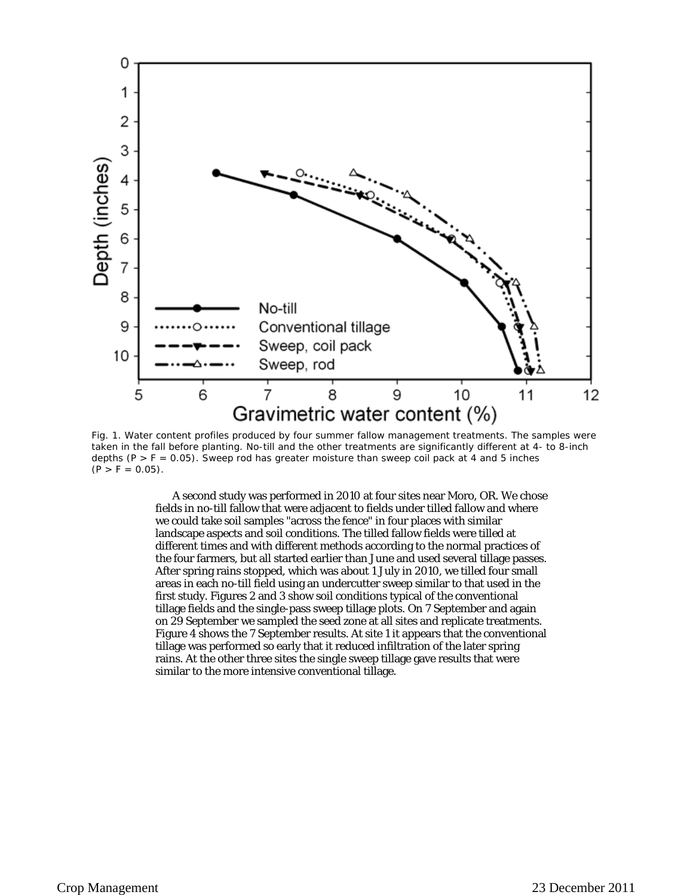

Fig. 1. Water content profiles produced by four summer fallow management treatments. The samples were taken in the fall before planting. No-till and the other treatments are significantly different at 4- to 8-inch depths  $(P > F = 0.05)$ . Sweep rod has greater moisture than sweep coil pack at 4 and 5 inches  $(P > F = 0.05)$ .

A second study was performed in 2010 at four sites near Moro, OR. We chose fields in no-till fallow that were adjacent to fields under tilled fallow and where we could take soil samples "across the fence" in four places with similar landscape aspects and soil conditions. The tilled fallow fields were tilled at different times and with different methods according to the normal practices of the four farmers, but all started earlier than June and used several tillage passes. After spring rains stopped, which was about 1 July in 2010, we tilled four small areas in each no-till field using an undercutter sweep similar to that used in the first study. Figures 2 and 3 show soil conditions typical of the conventional tillage fields and the single-pass sweep tillage plots. On 7 September and again on 29 September we sampled the seed zone at all sites and replicate treatments. Figure 4 shows the 7 September results. At site 1 it appears that the conventional tillage was performed so early that it reduced infiltration of the later spring rains. At the other three sites the single sweep tillage gave results that were similar to the more intensive conventional tillage.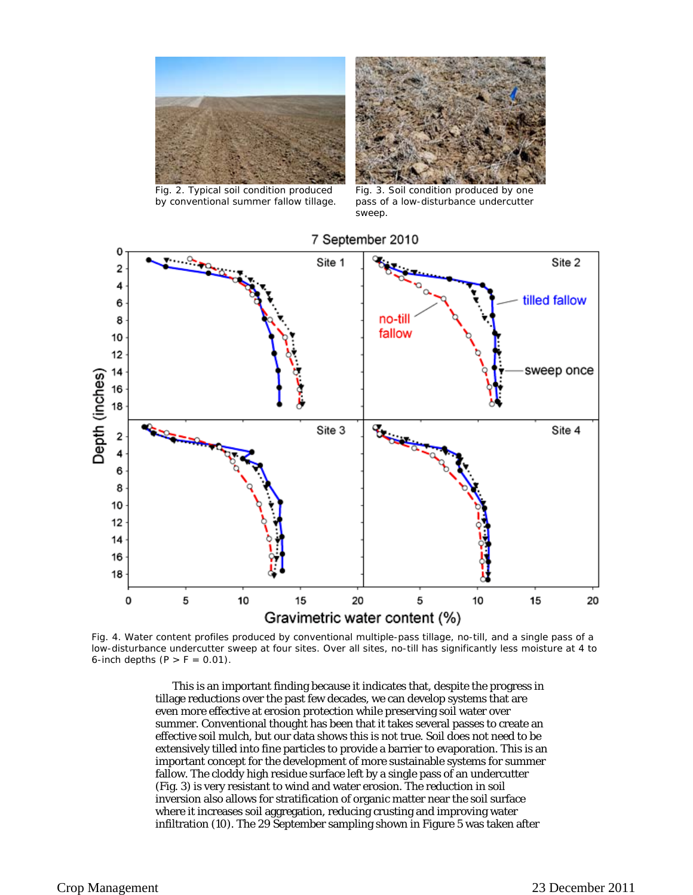

Fig. 2. Typical soil condition produced by conventional summer fallow tillage.



Fig. 3. Soil condition produced by one pass of a low-disturbance undercutter sweep.



Fig. 4. Water content profiles produced by conventional multiple-pass tillage, no-till, and a single pass of a low-disturbance undercutter sweep at four sites. Over all sites, no-till has significantly less moisture at 4 to 6-inch depths  $(P > F = 0.01)$ .

This is an important finding because it indicates that, despite the progress in tillage reductions over the past few decades, we can develop systems that are even more effective at erosion protection while preserving soil water over summer. Conventional thought has been that it takes several passes to create an effective soil mulch, but our data shows this is not true. Soil does not need to be extensively tilled into fine particles to provide a barrier to evaporation. This is an important concept for the development of more sustainable systems for summer fallow. The cloddy high residue surface left by a single pass of an undercutter (Fig. 3) is very resistant to wind and water erosion. The reduction in soil inversion also allows for stratification of organic matter near the soil surface where it increases soil aggregation, reducing crusting and improving water infiltration (10). The 29 September sampling shown in Figure 5 was taken after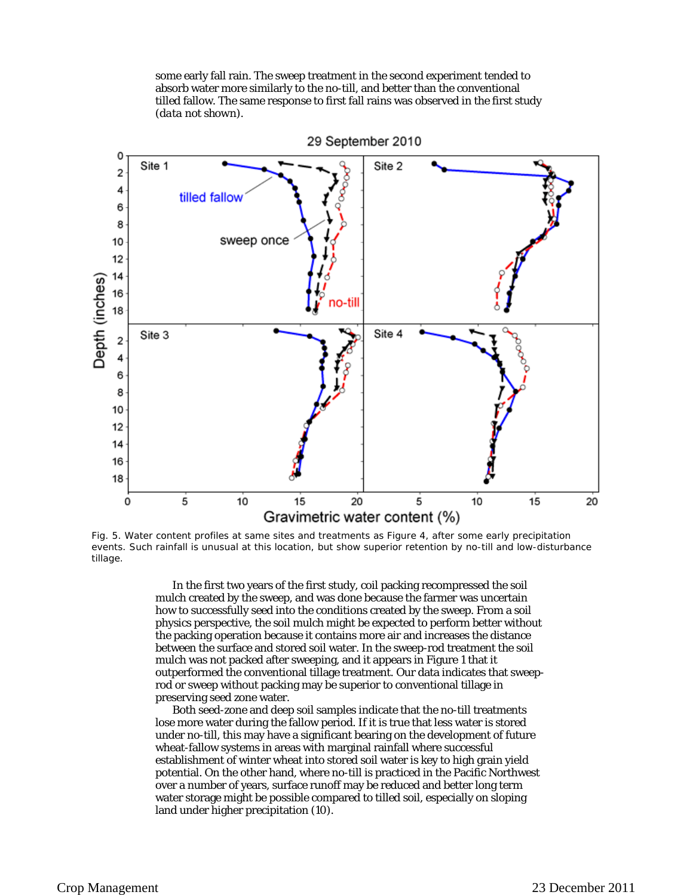some early fall rain. The sweep treatment in the second experiment tended to absorb water more similarly to the no-till, and better than the conventional tilled fallow. The same response to first fall rains was observed in the first study (*data not shown*).



Fig. 5. Water content profiles at same sites and treatments as Figure 4, after some early precipitation events. Such rainfall is unusual at this location, but show superior retention by no-till and low-disturbance tillage.

In the first two years of the first study, coil packing recompressed the soil mulch created by the sweep, and was done because the farmer was uncertain how to successfully seed into the conditions created by the sweep. From a soil physics perspective, the soil mulch might be expected to perform better without the packing operation because it contains more air and increases the distance between the surface and stored soil water. In the sweep-rod treatment the soil mulch was not packed after sweeping, and it appears in Figure 1 that it outperformed the conventional tillage treatment. Our data indicates that sweeprod or sweep without packing may be superior to conventional tillage in preserving seed zone water.

Both seed-zone and deep soil samples indicate that the no-till treatments lose more water during the fallow period. If it is true that less water is stored under no-till, this may have a significant bearing on the development of future wheat-fallow systems in areas with marginal rainfall where successful establishment of winter wheat into stored soil water is key to high grain yield potential. On the other hand, where no-till is practiced in the Pacific Northwest over a number of years, surface runoff may be reduced and better long term water storage might be possible compared to tilled soil, especially on sloping land under higher precipitation (10).